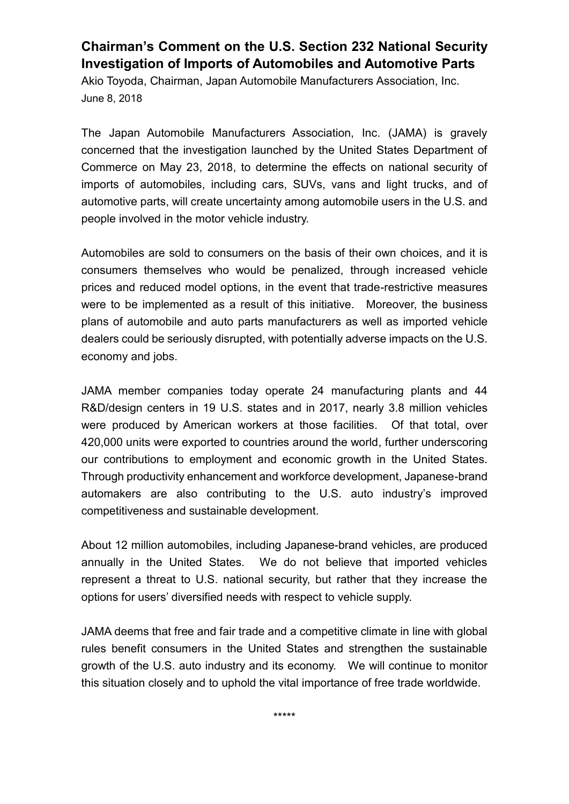## **Chairman's Comment on the U.S. Section 232 National Security Investigation of Imports of Automobiles and Automotive Parts**

Akio Toyoda, Chairman, Japan Automobile Manufacturers Association, Inc. June 8, 2018

The Japan Automobile Manufacturers Association, Inc. (JAMA) is gravely concerned that the investigation launched by the United States Department of Commerce on May 23, 2018, to determine the effects on national security of imports of automobiles, including cars, SUVs, vans and light trucks, and of automotive parts, will create uncertainty among automobile users in the U.S. and people involved in the motor vehicle industry.

Automobiles are sold to consumers on the basis of their own choices, and it is consumers themselves who would be penalized, through increased vehicle prices and reduced model options, in the event that trade-restrictive measures were to be implemented as a result of this initiative. Moreover, the business plans of automobile and auto parts manufacturers as well as imported vehicle dealers could be seriously disrupted, with potentially adverse impacts on the U.S. economy and jobs.

JAMA member companies today operate 24 manufacturing plants and 44 R&D/design centers in 19 U.S. states and in 2017, nearly 3.8 million vehicles were produced by American workers at those facilities. Of that total, over 420,000 units were exported to countries around the world, further underscoring our contributions to employment and economic growth in the United States. Through productivity enhancement and workforce development, Japanese-brand automakers are also contributing to the U.S. auto industry's improved competitiveness and sustainable development.

About 12 million automobiles, including Japanese-brand vehicles, are produced annually in the United States. We do not believe that imported vehicles represent a threat to U.S. national security, but rather that they increase the options for users' diversified needs with respect to vehicle supply.

JAMA deems that free and fair trade and a competitive climate in line with global rules benefit consumers in the United States and strengthen the sustainable growth of the U.S. auto industry and its economy. We will continue to monitor this situation closely and to uphold the vital importance of free trade worldwide.

\*\*\*\*\*